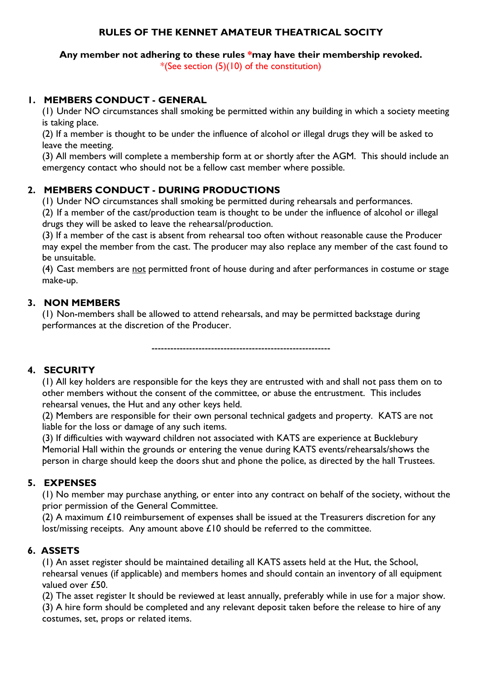## **RULES OF THE KENNET AMATEUR THEATRICAL SOCITY**

**Any member not adhering to these rules \*may have their membership revoked.** \*(See section (5)(10) of the constitution)

## **1. MEMBERS CONDUCT - GENERAL**

(1) Under NO circumstances shall smoking be permitted within any building in which a society meeting is taking place.

(2) If a member is thought to be under the influence of alcohol or illegal drugs they will be asked to leave the meeting.

(3) All members will complete a membership form at or shortly after the AGM. This should include an emergency contact who should not be a fellow cast member where possible.

# **2. MEMBERS CONDUCT - DURING PRODUCTIONS**

(1) Under NO circumstances shall smoking be permitted during rehearsals and performances.

(2) If a member of the cast/production team is thought to be under the influence of alcohol or illegal drugs they will be asked to leave the rehearsal/production.

(3) If a member of the cast is absent from rehearsal too often without reasonable cause the Producer may expel the member from the cast. The producer may also replace any member of the cast found to be unsuitable.

(4) Cast members are not permitted front of house during and after performances in costume or stage make-up.

## **3. NON MEMBERS**

(1) Non-members shall be allowed to attend rehearsals, and may be permitted backstage during performances at the discretion of the Producer.

---------------------------------------------------------

# **4. SECURITY**

(1) All key holders are responsible for the keys they are entrusted with and shall not pass them on to other members without the consent of the committee, or abuse the entrustment. This includes rehearsal venues, the Hut and any other keys held.

(2) Members are responsible for their own personal technical gadgets and property. KATS are not liable for the loss or damage of any such items.

(3) If difficulties with wayward children not associated with KATS are experience at Bucklebury Memorial Hall within the grounds or entering the venue during KATS events/rehearsals/shows the person in charge should keep the doors shut and phone the police, as directed by the hall Trustees.

# **5. EXPENSES**

(1) No member may purchase anything, or enter into any contract on behalf of the society, without the prior permission of the General Committee.

(2) A maximum  $£10$  reimbursement of expenses shall be issued at the Treasurers discretion for any lost/missing receipts. Any amount above £10 should be referred to the committee.

# **6. ASSETS**

(1) An asset register should be maintained detailing all KATS assets held at the Hut, the School, rehearsal venues (if applicable) and members homes and should contain an inventory of all equipment valued over £50.

(2) The asset register It should be reviewed at least annually, preferably while in use for a major show.

(3) A hire form should be completed and any relevant deposit taken before the release to hire of any costumes, set, props or related items.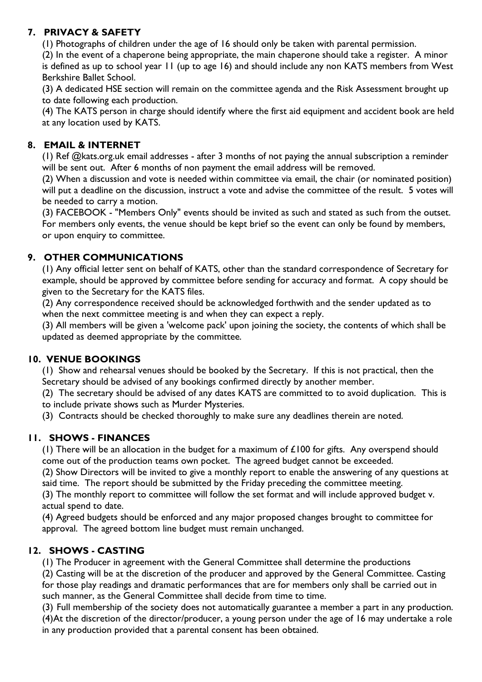# **7. PRIVACY & SAFETY**

(1) Photographs of children under the age of 16 should only be taken with parental permission.

(2) In the event of a chaperone being appropriate, the main chaperone should take a register. A minor is defined as up to school year 11 (up to age 16) and should include any non KATS members from West Berkshire Ballet School.

(3) A dedicated HSE section will remain on the committee agenda and the Risk Assessment brought up to date following each production.

(4) The KATS person in charge should identify where the first aid equipment and accident book are held at any location used by KATS.

## **8. EMAIL & INTERNET**

(1) Ref @kats.org.uk email addresses - after 3 months of not paying the annual subscription a reminder will be sent out. After 6 months of non payment the email address will be removed.

(2) When a discussion and vote is needed within committee via email, the chair (or nominated position) will put a deadline on the discussion, instruct a vote and advise the committee of the result. 5 votes will be needed to carry a motion.

(3) FACEBOOK - "Members Only" events should be invited as such and stated as such from the outset. For members only events, the venue should be kept brief so the event can only be found by members, or upon enquiry to committee.

## **9. OTHER COMMUNICATIONS**

(1) Any official letter sent on behalf of KATS, other than the standard correspondence of Secretary for example, should be approved by committee before sending for accuracy and format. A copy should be given to the Secretary for the KATS files.

(2) Any correspondence received should be acknowledged forthwith and the sender updated as to when the next committee meeting is and when they can expect a reply.

(3) All members will be given a 'welcome pack' upon joining the society, the contents of which shall be updated as deemed appropriate by the committee.

### **10. VENUE BOOKINGS**

(1) Show and rehearsal venues should be booked by the Secretary. If this is not practical, then the Secretary should be advised of any bookings confirmed directly by another member.

(2) The secretary should be advised of any dates KATS are committed to to avoid duplication. This is to include private shows such as Murder Mysteries.

(3) Contracts should be checked thoroughly to make sure any deadlines therein are noted.

### **11. SHOWS - FINANCES**

(1) There will be an allocation in the budget for a maximum of  $£100$  for gifts. Any overspend should come out of the production teams own pocket. The agreed budget cannot be exceeded.

(2) Show Directors will be invited to give a monthly report to enable the answering of any questions at said time. The report should be submitted by the Friday preceding the committee meeting.

(3) The monthly report to committee will follow the set format and will include approved budget v. actual spend to date.

(4) Agreed budgets should be enforced and any major proposed changes brought to committee for approval. The agreed bottom line budget must remain unchanged.

# **12. SHOWS - CASTING**

(1) The Producer in agreement with the General Committee shall determine the productions

(2) Casting will be at the discretion of the producer and approved by the General Committee. Casting for those play readings and dramatic performances that are for members only shall be carried out in such manner, as the General Committee shall decide from time to time.

(3) Full membership of the society does not automatically guarantee a member a part in any production. (4)At the discretion of the director/producer, a young person under the age of 16 may undertake a role in any production provided that a parental consent has been obtained.